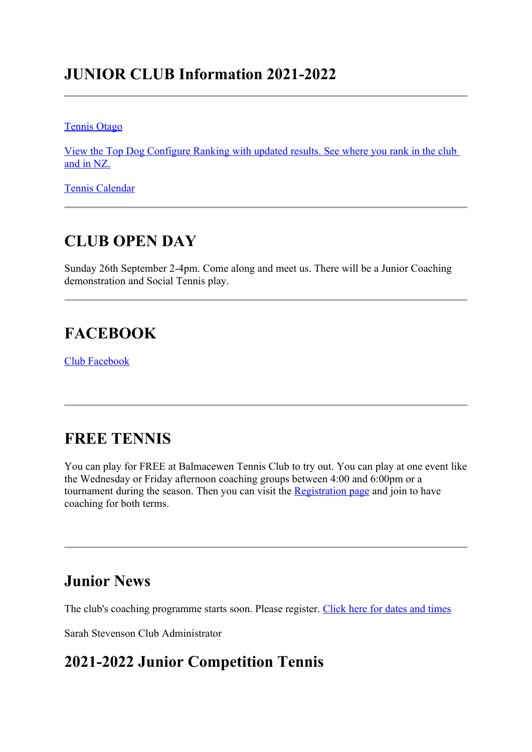## **JUNIOR CLUB Information 2021-2022**

Tennis Otago

View the Top Dog Configure Ranking with updated results. See where you rank in the club and in NZ.

Tennis Calendar

## **CLUB OPEN DAY**

Sunday 26th September 2-4pm. Come along and meet us. There will be a Junior Coaching demonstration and Social Tennis play.

## **FACEBOOK**

Club Facebook

## **FREE TENNIS**

You can play for FREE at Balmacewen Tennis Club to try out. You can play at one event like the Wednesday or Friday afternoon coaching groups between 4:00 and 6:00pm or a tournament during the season. Then you can visit the Registration page and join to have coaching for both terms.

## **Junior News**

The club's coaching programme starts soon. Please register. Click here for dates and times

Sarah Stevenson Club Administrator

### **2021-2022 Junior Competition Tennis**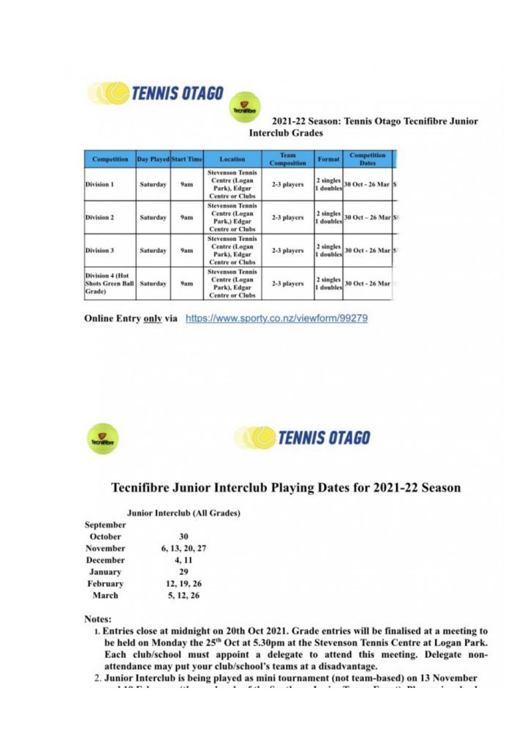

2021-22 Season: Tennis Otago Tecnifibre Junior **Interclub Grades** 

| <b>Competition</b>                                   |                                                                                                       | <b>Day Played Start Time</b> | Location                                                                           | <b>Team</b><br><b>Composition</b>           | Format                 | <b>Competition</b><br><b>Dates</b><br>2 singles 30 Oct - 26 Mar S |  |
|------------------------------------------------------|-------------------------------------------------------------------------------------------------------|------------------------------|------------------------------------------------------------------------------------|---------------------------------------------|------------------------|-------------------------------------------------------------------|--|
| Division 1                                           | Saturday                                                                                              | 9am                          | <b>Stevenson Tennis</b><br>Centre (Logan<br>Park), Edgar<br><b>Centre or Clubs</b> | 2-3 players                                 | doubles                |                                                                   |  |
| Division 2                                           | <b>Stevenson Tennis</b><br>Centre (Logan<br>Saturday<br>9am<br>Park.) Edgar<br><b>Centre or Clubs</b> |                              | 2-3 players                                                                        | 2 singles<br>30 Oct - 26 Mar S<br>1 doubles |                        |                                                                   |  |
| Division 3                                           | Saturday                                                                                              | 9 <sub>am</sub>              | <b>Stevenson Tennis</b><br>Centre (Logan<br>Park), Edgar<br><b>Centre or Clubs</b> | 2-3 players                                 | 2 singles<br>1 doubles | 30 Oct - 26 Mar S                                                 |  |
| Division 4 (Hot<br><b>Shots Green Ball</b><br>Grade) | Saturday<br>9am                                                                                       |                              | <b>Stevenson Tennis</b><br>Centre (Logan<br>Park), Edgar<br><b>Centre or Clubs</b> | 2-3 players                                 | 2 singles<br>doubles   | 30 Oct - 26 Mar                                                   |  |

Online Entry only via https://www.sporty.co.nz/viewform/99279



**TENNIS OTAGO** 

#### **Tecnifibre Junior Interclub Playing Dates for 2021-22 Season**

#### **Junior Interclub (All Grades)**

| September      |               |  |  |  |
|----------------|---------------|--|--|--|
| October        | 30            |  |  |  |
| November       | 6, 13, 20, 27 |  |  |  |
| December       | 4, 11         |  |  |  |
| <b>January</b> | 29            |  |  |  |
| February       | 12, 19, 26    |  |  |  |
| March          | 5, 12, 26     |  |  |  |

Notes:

- 1. Entries close at midnight on 20th Oct 2021. Grade entries will be finalised at a meeting to be held on Monday the 25<sup>th</sup> Oct at 5.30pm at the Stevenson Tennis Centre at Logan Park. Each club/school must appoint a delegate to attend this meeting. Delegate nonattendance may put your club/school's teams at a disadvantage.
- 2. Junior Interclub is being played as mini tournament (not team-based) on 13 November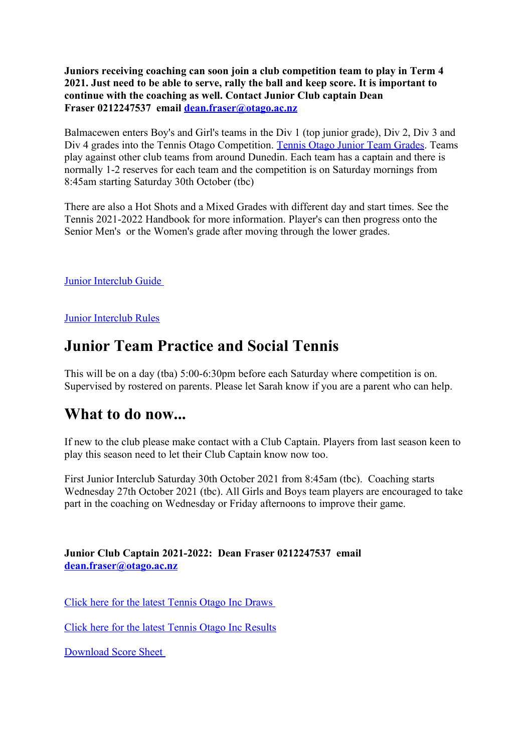**Juniors receiving coaching can soon join a club competition team to play in Term 4 2021. Just need to be able to serve, rally the ball and keep score. It is important to continue with the coaching as well. Contact Junior Club captain Dean Fraser 0212247537 email dean.fraser@otago.ac.nz**

Balmacewen enters Boy's and Girl's teams in the Div 1 (top junior grade), Div 2, Div 3 and Div 4 grades into the Tennis Otago Competition. Tennis Otago Junior Team Grades. Teams play against other club teams from around Dunedin. Each team has a captain and there is normally 1-2 reserves for each team and the competition is on Saturday mornings from 8:45am starting Saturday 30th October (tbc)

There are also a Hot Shots and a Mixed Grades with different day and start times. See the Tennis 2021-2022 Handbook for more information. Player's can then progress onto the Senior Men's or the Women's grade after moving through the lower grades.

Junior Interclub Guide

Junior Interclub Rules

## **Junior Team Practice and Social Tennis**

This will be on a day (tba) 5:00-6:30pm before each Saturday where competition is on. Supervised by rostered on parents. Please let Sarah know if you are a parent who can help.

### **What to do now...**

If new to the club please make contact with a Club Captain. Players from last season keen to play this season need to let their Club Captain know now too.

First Junior Interclub Saturday 30th October 2021 from 8:45am (tbc). Coaching starts Wednesday 27th October 2021 (tbc). All Girls and Boys team players are encouraged to take part in the coaching on Wednesday or Friday afternoons to improve their game.

**Junior Club Captain 2021-2022: Dean Fraser 0212247537 email dean.fraser@otago.ac.nz**

Click here for the latest Tennis Otago Inc Draws

Click here for the latest Tennis Otago Inc Results

Download Score Sheet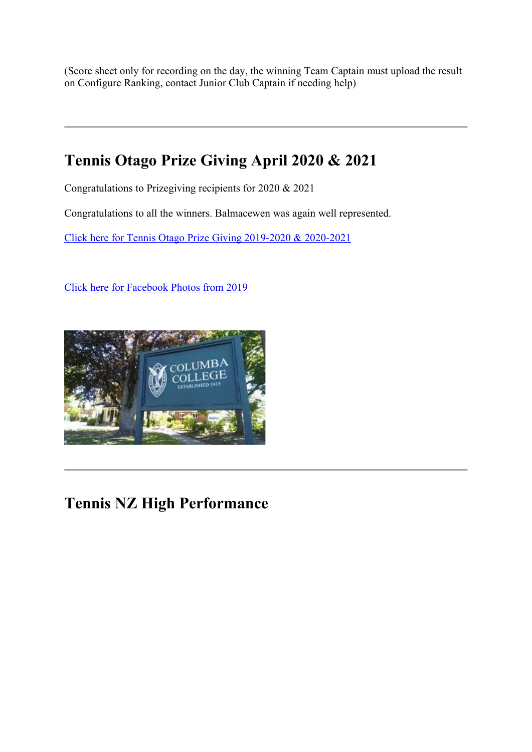(Score sheet only for recording on the day, the winning Team Captain must upload the result on Configure Ranking, contact Junior Club Captain if needing help)

# **Tennis Otago Prize Giving April 2020 & 2021**

Congratulations to Prizegiving recipients for 2020 & 2021

Congratulations to all the winners. Balmacewen was again well represented.

Click here for Tennis Otago Prize Giving 2019-2020 & 2020-2021

Click here for Facebook Photos from 2019



## **Tennis NZ High Performance**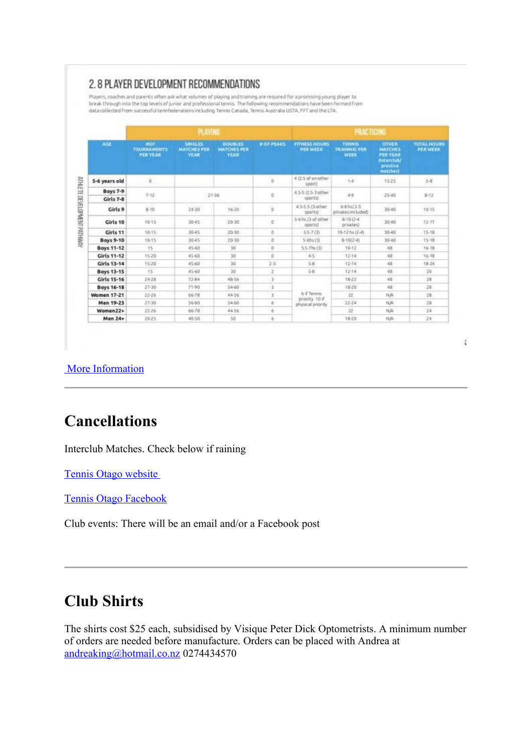#### 2.8 PLAYER DEVELOPMENT RECOMMENDATIONS

Players, coaches and parents often ask what volumes of playing and training are required for a promising young player to break through into the top levels of junior and professional tennis. The following recommendations have been formed from data collected from successful tennfederations including Tennis Canada, Tennis Australia USTA, FFT and the LTA.

| AGE                          | <b>PLAYING</b>                                      |                                                     |                                                     |                   | <b>PRACTICING</b>                                  |                                              |                                                                                       |                                       |
|------------------------------|-----------------------------------------------------|-----------------------------------------------------|-----------------------------------------------------|-------------------|----------------------------------------------------|----------------------------------------------|---------------------------------------------------------------------------------------|---------------------------------------|
|                              | <b>MOP</b><br><b>TOURNAMENTS</b><br><b>PER YEAR</b> | <b>SINGLES</b><br><b>MATCHES PER</b><br><b>YEAR</b> | <b>DOUBLES</b><br><b>MATCHES PER</b><br><b>YEAR</b> | <b># OF PEAKS</b> | <b>FITHESS HOURS</b><br><b>PERWEEK</b>             | <b>TENNIS</b><br><b>TRAINNIG FER</b><br>WEEK | OTHER<br><b>MATCHES</b><br><b>PER YEAR</b><br><b>Onterclub</b><br>practice<br>matches | <b>TOTAL HOURS</b><br><b>PER WEEK</b> |
| 5-6 years old                | $\mathbf{0}$                                        |                                                     |                                                     | b                 | 412.5 of an other<br>sport)                        | $1 - 4$                                      | 15-25                                                                                 | $5 - 8$                               |
| <b>Boys 7-9</b><br>Girls 7-8 | $7 - 12$                                            | $21 - 36$                                           |                                                     | <b>D</b>          | 4.5-5 (2.5-3 other<br>sports)                      | 49                                           | 25.40                                                                                 | $8-12$                                |
| Girls 9                      | 8.10                                                | $24 - 30$                                           | $16 - 20$                                           | Ü                 | 4.5-5.5 (3 other<br>sportsi                        | 68 h s (23)<br>privates included)            | 3540                                                                                  | 10-15                                 |
| Girls 10                     | $10 - 15$                                           | 30-45                                               | $20-30$                                             | Ù                 | 5-6 hs (3 of other<br>sports)                      | 8.10 (2-4)<br>privates)                      | 30-40                                                                                 | $12 - 17$                             |
| Girls 11                     | 10-15                                               | 30.45                                               | 20-30                                               | D.                | 55-7 (3)                                           | 10-12 hs (2-4)                               | 30-40                                                                                 | 15-18                                 |
| <b>Boys 9-10</b>             | $10 - 15$                                           | 30-45                                               | 20-30                                               | ö                 | $5-6hs(3)$                                         | $8(10(2-4)$                                  | 30-40                                                                                 | $15 - 18$                             |
| <b>Boys 11-12</b>            | 15                                                  | 45-60                                               | 30                                                  | ö                 | $55-7$ hs $(3)$                                    | 10-12                                        | 48                                                                                    | $16 - 18$                             |
| <b>Girls 11-12</b>           | $15 - 20$                                           | 45-60                                               | 30                                                  | ò                 | 45                                                 | $12 - 14$                                    | 48                                                                                    | $16 - 18$                             |
| Girls 13-14                  | 15-20                                               | 45-60                                               | 30                                                  | $2 - 3$           | 58.                                                | 12-14                                        | 48                                                                                    | 18-24                                 |
| <b>Boys 13-15</b>            | 15                                                  | 45-60                                               | 30                                                  | 2                 | $5 - 8$                                            | $12 - 14$                                    | 48                                                                                    | 20                                    |
| Girls 15-16                  | 24-28                                               | 72-84                                               | 48-56                                               | 3                 | 6 if Tennis<br>priority 10 if<br>physical priority | 18-22                                        | 48                                                                                    | 28                                    |
| <b>Boys 16-18</b>            | 27:30                                               | 71-90                                               | 54 60                                               | $\overline{3}$    |                                                    | 18-20                                        | 48                                                                                    | 28                                    |
| <b>Women 17-21</b>           | $22 - 26$                                           | 66-78                                               | 66-56                                               | 3                 |                                                    | 22                                           | NA                                                                                    | 28                                    |
| Men 19-23                    | 27-30                                               | 56-60                                               | 5460                                                | 6                 |                                                    | 22-24                                        | NA                                                                                    | 28                                    |
| Women22+                     | 22.26                                               | 66-78                                               | 4456                                                | ß.                |                                                    | żź                                           | N/A                                                                                   | 24                                    |
| <b>Men 24+</b>               | 20-25                                               | 40-50                                               | 50                                                  | 6                 |                                                    | 18-20                                        | N/A                                                                                   | 24                                    |

#### More Information

## **Cancellations**

Interclub Matches. Check below if raining

Tennis Otago website

Tennis Otago Facebook

Club events: There will be an email and/or a Facebook post

## **Club Shirts**

The shirts cost \$25 each, subsidised by Visique Peter Dick Optometrists. A minimum number of orders are needed before manufacture. Orders can be placed with Andrea at andreaking@hotmail.co.nz 0274434570